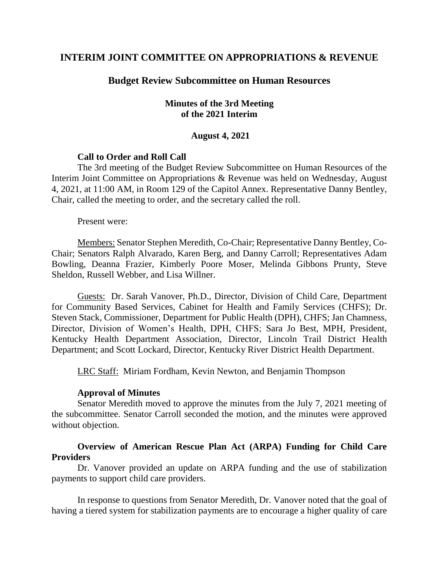# **INTERIM JOINT COMMITTEE ON APPROPRIATIONS & REVENUE**

### **Budget Review Subcommittee on Human Resources**

### **Minutes of the 3rd Meeting of the 2021 Interim**

#### **August 4, 2021**

#### **Call to Order and Roll Call**

The 3rd meeting of the Budget Review Subcommittee on Human Resources of the Interim Joint Committee on Appropriations & Revenue was held on Wednesday, August 4, 2021, at 11:00 AM, in Room 129 of the Capitol Annex. Representative Danny Bentley, Chair, called the meeting to order, and the secretary called the roll.

Present were:

Members: Senator Stephen Meredith, Co-Chair; Representative Danny Bentley, Co-Chair; Senators Ralph Alvarado, Karen Berg, and Danny Carroll; Representatives Adam Bowling, Deanna Frazier, Kimberly Poore Moser, Melinda Gibbons Prunty, Steve Sheldon, Russell Webber, and Lisa Willner.

Guests: Dr. Sarah Vanover, Ph.D., Director, Division of Child Care, Department for Community Based Services, Cabinet for Health and Family Services (CHFS); Dr. Steven Stack, Commissioner, Department for Public Health (DPH), CHFS; Jan Chamness, Director, Division of Women's Health, DPH, CHFS; Sara Jo Best, MPH, President, Kentucky Health Department Association, Director, Lincoln Trail District Health Department; and Scott Lockard, Director, Kentucky River District Health Department.

LRC Staff: Miriam Fordham, Kevin Newton, and Benjamin Thompson

#### **Approval of Minutes**

Senator Meredith moved to approve the minutes from the July 7, 2021 meeting of the subcommittee. Senator Carroll seconded the motion, and the minutes were approved without objection.

## **Overview of American Rescue Plan Act (ARPA) Funding for Child Care Providers**

Dr. Vanover provided an update on ARPA funding and the use of stabilization payments to support child care providers.

In response to questions from Senator Meredith, Dr. Vanover noted that the goal of having a tiered system for stabilization payments are to encourage a higher quality of care